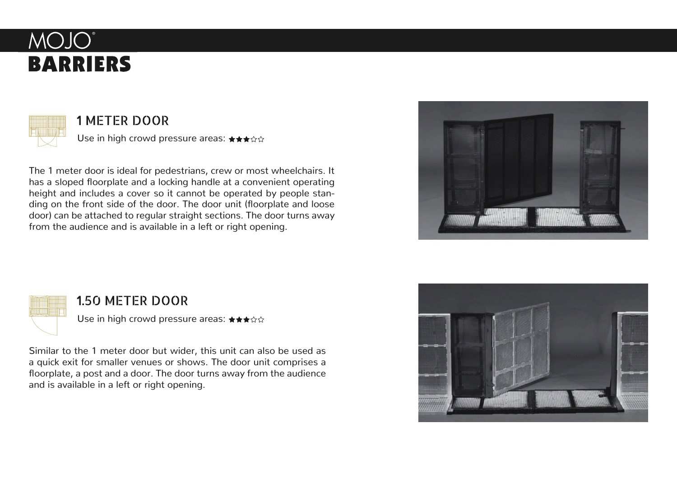



## 1 METER DOOR

Use in high crowd pressure areas: ★★★☆☆

The 1 meter door is ideal for pedestrians, crew or most wheelchairs. It has a sloped floorplate and a locking handle at a convenient operating height and includes a cover so it cannot be operated by people standing on the front side of the door. The door unit (floorplate and loose door) can be attached to regular straight sections. The door turns away from the audience and is available in a left or right opening.





## 1.50 METER DOOR

Use in high crowd pressure areas: ★★★☆☆

Similar to the 1 meter door but wider, this unit can also be used as a quick exit for smaller venues or shows. The door unit comprises a floorplate, a post and a door. The door turns away from the audience and is available in a left or right opening.